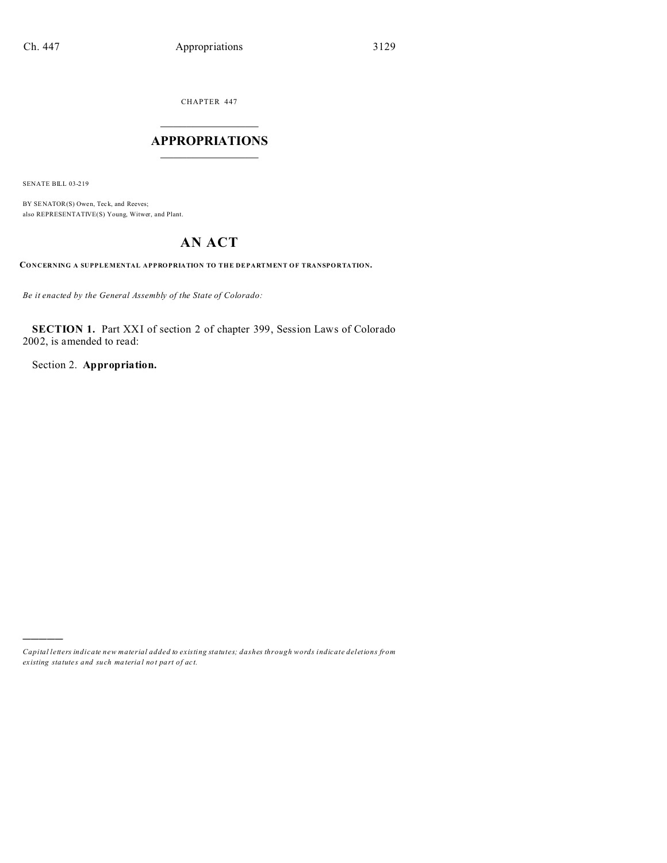CHAPTER 447  $\overline{\phantom{a}}$  , where  $\overline{\phantom{a}}$ 

## **APPROPRIATIONS**  $\_$   $\_$   $\_$   $\_$   $\_$   $\_$   $\_$   $\_$

SENATE BILL 03-219

)))))

BY SENATOR(S) Owen, Teck, and Reeves; also REPRESENTATIVE(S) Young, Witwer, and Plant.

## **AN ACT**

**CONCERNING A SUPPLEMENTAL APPROPRIATION TO THE DEPARTMENT OF TRANSPORTATION.**

*Be it enacted by the General Assembly of the State of Colorado:*

**SECTION 1.** Part XXI of section 2 of chapter 399, Session Laws of Colorado 2002, is amended to read:

Section 2. **Appropriation.**

*Capital letters indicate new material added to existing statutes; dashes through words indicate deletions from ex isting statute s and such ma teria l no t pa rt of ac t.*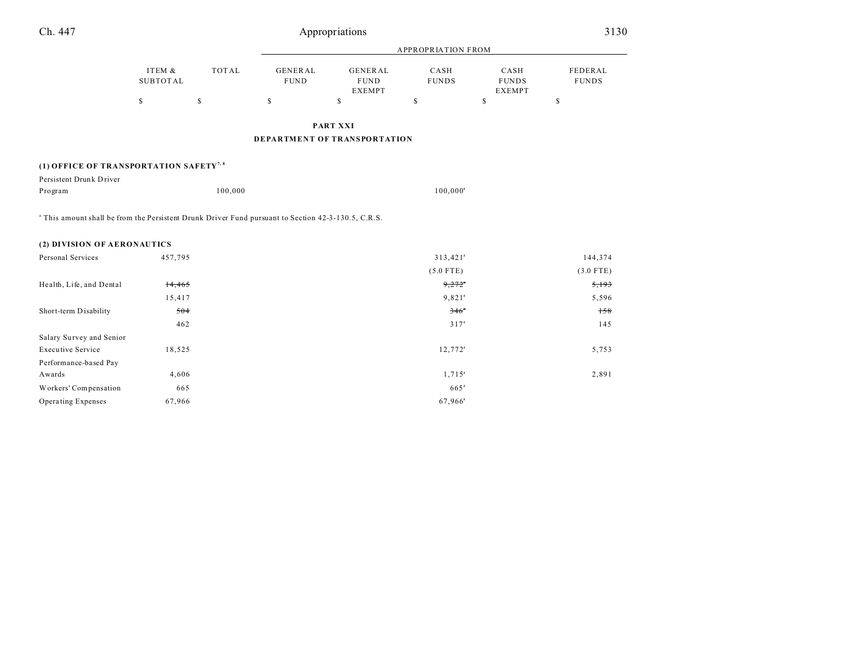| Ch. 447                                                                                                        | Appropriations            |             |                        |                                                |                        | 3130                                  |                         |
|----------------------------------------------------------------------------------------------------------------|---------------------------|-------------|------------------------|------------------------------------------------|------------------------|---------------------------------------|-------------------------|
|                                                                                                                | <b>APPROPRIATION FROM</b> |             |                        |                                                |                        |                                       |                         |
|                                                                                                                | ITEM &<br><b>SUBTOTAL</b> | TOTAL       | GENERAL<br><b>FUND</b> | <b>GENERAL</b><br><b>FUND</b><br><b>EXEMPT</b> | CASH<br><b>FUNDS</b>   | CASH<br><b>FUNDS</b><br><b>EXEMPT</b> | FEDERAL<br><b>FUNDS</b> |
|                                                                                                                | \$                        | $\mathbb S$ | \$                     | \$                                             | $\mathbb S$            | \$                                    | \$                      |
|                                                                                                                |                           |             |                        | <b>PART XXI</b>                                |                        |                                       |                         |
|                                                                                                                |                           |             |                        | <b>DEPARTMENT OF TRANSPORTATION</b>            |                        |                                       |                         |
| (1) OFFICE OF TRANSPORTATION SAFETY <sup>7,8</sup>                                                             |                           |             |                        |                                                |                        |                                       |                         |
| Persistent Drunk Driver                                                                                        |                           |             |                        |                                                |                        |                                       |                         |
| Program                                                                                                        |                           | 100,000     |                        |                                                | $100,000^a$            |                                       |                         |
| <sup>a</sup> This amount shall be from the Persistent Drunk Driver Fund pursuant to Section 42-3-130.5, C.R.S. |                           |             |                        |                                                |                        |                                       |                         |
| (2) DIVISION OF AERONAUTICS                                                                                    |                           |             |                        |                                                |                        |                                       |                         |
| Personal Services                                                                                              | 457,795                   |             |                        |                                                | $313,421$ <sup>a</sup> |                                       | 144,374                 |
|                                                                                                                |                           |             |                        |                                                | $(5.0$ FTE)            |                                       | $(3.0$ FTE)             |
| Health, Life, and Dental                                                                                       | 14,465                    |             |                        |                                                | 9,272                  |                                       | 5,193                   |
|                                                                                                                | 15,417                    |             |                        |                                                | $9,821$ <sup>a</sup>   |                                       | 5,596                   |
| Short-term Disability                                                                                          | 504                       |             |                        |                                                | 346°                   |                                       | 158                     |
|                                                                                                                | 462                       |             |                        |                                                | 317 <sup>a</sup>       |                                       | 145                     |

Executive Service  $18,525$  12,772<sup>a</sup>

Awards  $4,606$   $1,715$ <sup>a</sup>

Workers' Compensation 665<sup>a</sup> 665<sup>a</sup> Operating Expenses  $67,966$  67,966<sup>a</sup>

Salary Survey and Senior

Performance-based Pay

5,753

2,891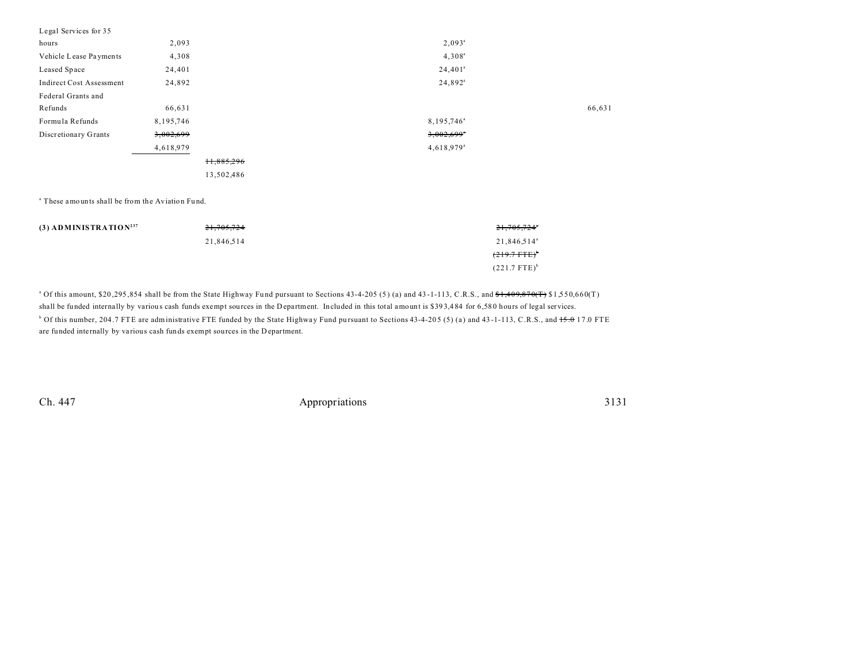| Legal Services for 35           |             |            |                          |        |
|---------------------------------|-------------|------------|--------------------------|--------|
| hours                           | 2,093       |            | $2,093^a$                |        |
| Vehicle Lease Payments          | 4,308       |            | $4,308^{\circ}$          |        |
| Leased Space                    | 24,401      |            | $24,401^a$               |        |
| <b>Indirect Cost Assessment</b> | 24,892      |            | $24,892^a$               |        |
| Federal Grants and              |             |            |                          |        |
| Refunds                         | 66,631      |            |                          | 66,631 |
| Formula Refunds                 | 8, 195, 746 |            | 8,195,746 <sup>a</sup>   |        |
| Discretionary Grants            | 3,002,699   |            | $3,002,699$ <sup>*</sup> |        |
|                                 | 4,618,979   |            | $4,618.979$ <sup>a</sup> |        |
|                                 |             | 11,885,296 |                          |        |
|                                 |             | 13,502,486 |                          |        |

a These amounts shall be from the Aviation Fu nd.

| $(3)$ ADMINISTRATION <sup>237</sup> | 21,705,724 | 21,705,724°             |
|-------------------------------------|------------|-------------------------|
|                                     | 21,846,514 | 21,846,514 <sup>a</sup> |
|                                     |            | $(219.7 \text{ FTE})^*$ |
|                                     |            | $(221.7 \text{ FTE})^b$ |

 $^{\circ}$  Of this amount, \$20,295,854 shall be from the State Highway Fund pursuant to Sections 43-4-205 (5) (a) and 43-1-113, C.R.S., and  $\frac{6}{31}$ ,  $\frac{409,870(T)}{1550,660(T)}$ shall be funded internally by various cash funds exempt sources in the Department. Included in this total amount is \$393,484 for 6,580 hours of legal services. <sup>b</sup> Of this number, 204.7 FTE are administrative FTE funded by the State Highway Fund pursuant to Sections 43-4-205 (5) (a) and 43-1-113, C.R.S., and <del>15.0</del> 17.0 FTE

are funded internally by va rious cash funds exempt sources in the D epartment.

Ch. 447 Appropriations 3131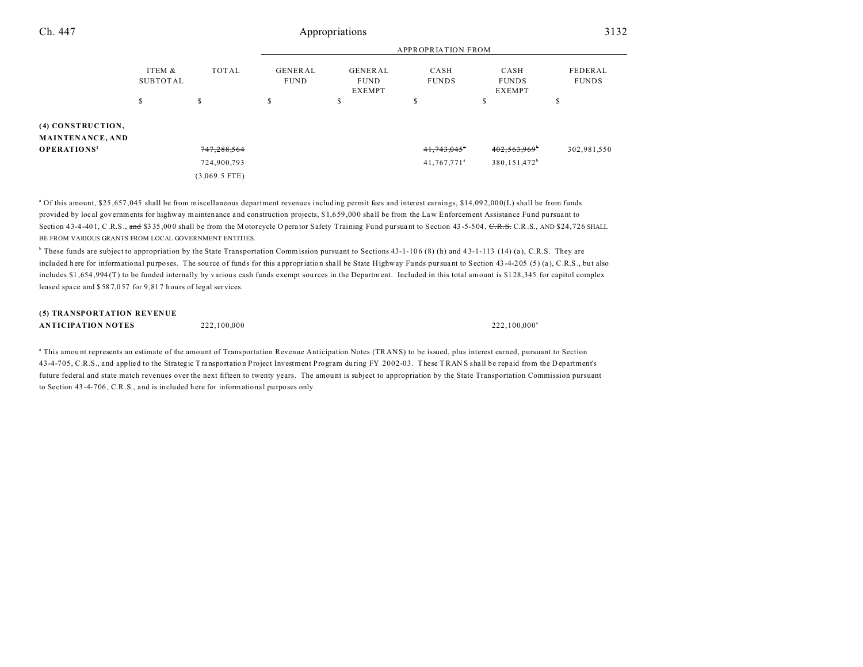| Ch. 447                               | Appropriations            |             |                               |                                                |                           | 3132                                  |                         |
|---------------------------------------|---------------------------|-------------|-------------------------------|------------------------------------------------|---------------------------|---------------------------------------|-------------------------|
|                                       |                           |             |                               |                                                | <b>APPROPRIATION FROM</b> |                                       |                         |
|                                       | ITEM &<br><b>SUBTOTAL</b> | TOTAL       | <b>GENERAL</b><br><b>FUND</b> | <b>GENERAL</b><br><b>FUND</b><br><b>EXEMPT</b> | CASH<br><b>FUNDS</b>      | CASH<br><b>FUNDS</b><br><b>EXEMPT</b> | FEDERAL<br><b>FUNDS</b> |
|                                       | S                         | \$          | S                             | \$                                             | Ŝ.                        | S                                     | \$                      |
| (4) CONSTRUCTION,<br>MAINTENANCE, AND |                           |             |                               |                                                |                           |                                       |                         |
| <b>OPERATIONS'</b>                    |                           | 747,288,564 |                               |                                                | 41,743,045*               | $402,563,969^{\circ}$                 | 302,981,550             |
|                                       |                           | 724,900,793 |                               |                                                | 41,767,771 <sup>a</sup>   | 380, 151, 472 <sup>b</sup>            |                         |

<sup>a</sup> Of this amount, \$25,657,045 shall be from miscellaneous department revenues including permit fees and interest earnings, \$14,092,000(L) shall be from funds provided by local governments for highway maintenance and construction projects, \$1,659,000 shall be from the Law Enforcement Assistance Fund pursuant to Section 43-4-401, C.R.S., and \$335,000 shall be from the M otorcycle O perator Safety Training Fund pursuant to Section 43-5-504, C.R.S., AND \$24,726 SHALL BE FROM VARIOUS GRANTS FROM LOCAL GOVERNMENT ENTITIES.

(3,069.5 FTE)

<sup>b</sup> These funds are subject to appropriation by the State Transportation Commission pursuant to Sections 43-1-106 (8) (h) and 43-1-113 (14) (a), C.R.S. They are included here for informational purposes. The source of funds for this appropriation shall be State Highway Funds pursuant to Section 43-4-205 (5) (a), C.R.S., but also includes \$1 ,654 ,994 (T) to be funded internally by various cash funds exempt sources in the Department. Included in this total amount is \$1 28 ,345 for capitol complex leased space and \$587,057 for 9,817 hours of legal services.

## **(5) TRANSPORTATION REVENUE ANTICIPATION NOTES** 222,100,000 222,100,000 222,100,000<sup>a</sup>

<sup>a</sup> This amount represents an estimate of the amount of Transportation Revenue Anticipation Notes (TRANS) to be issued, plus interest earned, pursuant to Section 43-4-705, C.R.S., and applied to the Stra tegic T ransportation Project Investment Program du ring FY 2002-03. These T RAN S sha ll be repaid from the Department's future federal and state match revenues over the next fifteen to twenty years. The amount is subject to appropriation by the State Transportation Commission pursuant to Section 43 -4-706 , C.R.S., and is included here for informational purposes only.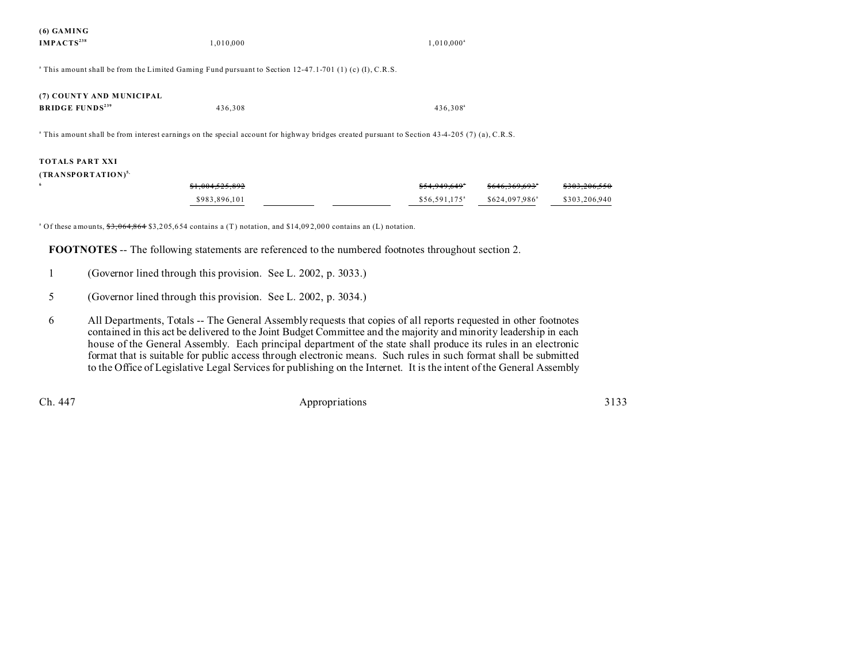| (6) GAMING<br>IMPACTS <sup>238</sup>                           | 1,010,000                                                                                                                                                | $1,010,000^a$                                                                                                                                                |
|----------------------------------------------------------------|----------------------------------------------------------------------------------------------------------------------------------------------------------|--------------------------------------------------------------------------------------------------------------------------------------------------------------|
|                                                                | $\degree$ This amount shall be from the Limited Gaming Fund pursuant to Section 12-47.1-701 (1) (c) (I), C.R.S.                                          |                                                                                                                                                              |
| (7) COUNTY AND MUNICIPAL<br><b>BRIDGE FUNDS</b> <sup>239</sup> | 436,308                                                                                                                                                  | 436,308 <sup>a</sup>                                                                                                                                         |
|                                                                | <sup>a</sup> This amount shall be from interest earnings on the special account for highway bridges created pursuant to Section 43-4-205 (7) (a), C.R.S. |                                                                                                                                                              |
| <b>TOTALS PART XXI</b><br>(TRANSPORTATION) <sup>5</sup><br>6   | <del>\$1.004.525.892</del><br>\$983,896,101                                                                                                              | <del>\$303,206,550</del><br><del>\$54.949.64</del> 9<br><del>\$646.369.693</del><br>\$56,591,175 <sup>a</sup><br>\$624,097,986 <sup>a</sup><br>\$303,206,940 |

<sup>a</sup> Of these amounts,  $\frac{63}{53,064,864}$  \$3,205,654 contains a (T) notation, and \$14,092,000 contains an (L) notation.

**FOOTNOTES** -- The following statements are referenced to the numbered footnotes throughout section 2.

- 5 (Governor lined through this provision. See L. 2002, p. 3034.)
- 6 All Departments, Totals -- The General Assembly requests that copies of all reports requested in other footnotes contained in this act be delivered to the Joint Budget Committee and the majority and minority leadership in each house of the General Assembly. Each principal department of the state shall produce its rules in an electronic format that is suitable for public access through electronic means. Such rules in such format shall be submitted to the Office of Legislative Legal Services for publishing on the Internet. It is the intent of the General Assembly

Ch. 447 Appropriations 3133